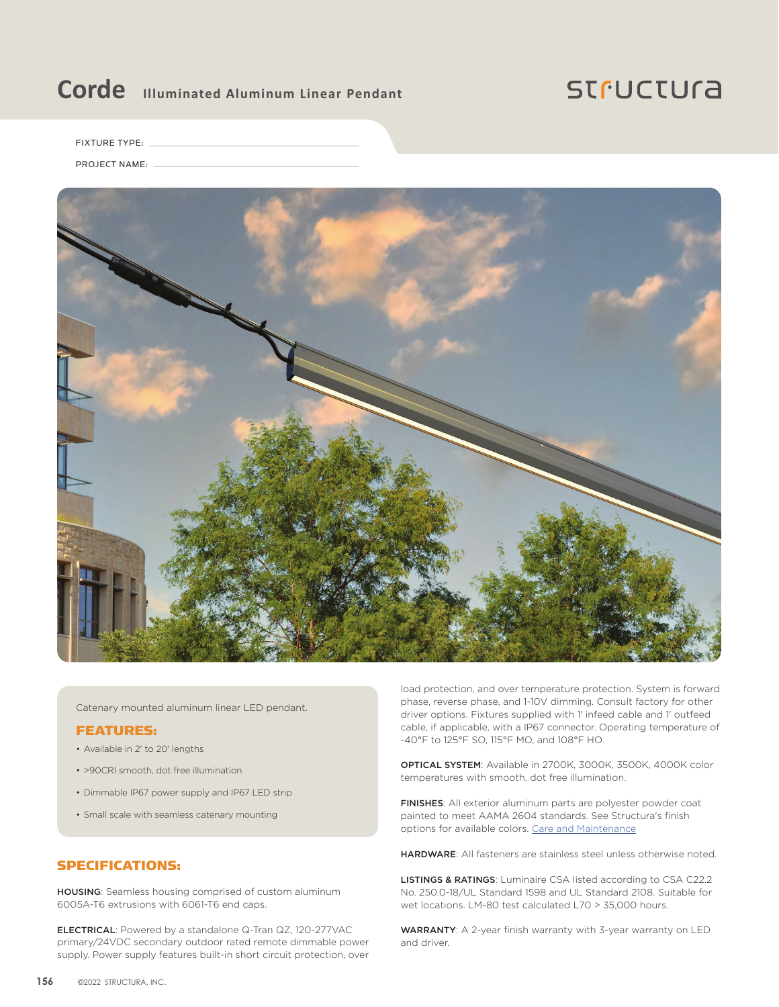## Corde **Illuminated Aluminum Linear Pendant**

### **STFUCTUra**

FIXTURE TYPE:

PROJECT NAME:



Catenary mounted aluminum linear LED pendant.

#### FEATURES:

- Available in 2' to 20' lengths
- >90CRI smooth, dot free illumination
- Dimmable IP67 power supply and IP67 LED strip
- Small scale with seamless catenary mounting

#### SPECIFICATIONS:

HOUSING: Seamless housing comprised of custom aluminum 6005A-T6 extrusions with 6061-T6 end caps.

ELECTRICAL: Powered by a standalone Q-Tran QZ, 120-277VAC primary/24VDC secondary outdoor rated remote dimmable power supply. Power supply features built-in short circuit protection, over load protection, and over temperature protection. System is forward phase, reverse phase, and 1-10V dimming. Consult factory for other driver options. Fixtures supplied with 1' infeed cable and 1' outfeed cable, if applicable, with a IP67 connector. Operating temperature of -40°F to 125°F SO, 115°F MO, and 108°F HO.

OPTICAL SYSTEM: Available in 2700K, 3000K, 3500K, 4000K color temperatures with smooth, dot free illumination.

FINISHES: All exterior aluminum parts are polyester powder coat painted to meet AAMA 2604 standards. See Structura's finish options for available colors. [Care and Maintenance](https://structura.com/resources/care-maintenance)

HARDWARE: All fasteners are stainless steel unless otherwise noted.

LISTINGS & RATINGS: Luminaire CSA listed according to CSA C22.2 No. 250.0-18/UL Standard 1598 and UL Standard 2108. Suitable for wet locations. LM-80 test calculated L70 > 35,000 hours.

WARRANTY: A 2-year finish warranty with 3-year warranty on LED and driver.